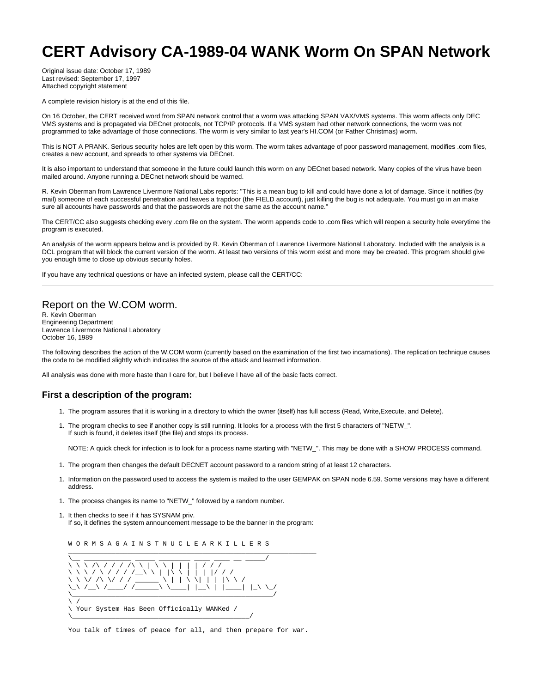# **CERT Advisory CA-1989-04 WANK Worm On SPAN Network**

Original issue date: October 17, 1989 Last revised: September 17, 1997 Attached copyright statement

A complete revision history is at the end of this file.

On 16 October, the CERT received word from SPAN network control that a worm was attacking SPAN VAX/VMS systems. This worm affects only DEC VMS systems and is propagated via DECnet protocols, not TCP/IP protocols. If a VMS system had other network connections, the worm was not programmed to take advantage of those connections. The worm is very similar to last year's HI.COM (or Father Christmas) worm.

This is NOT A PRANK. Serious security holes are left open by this worm. The worm takes advantage of poor password management, modifies .com files, creates a new account, and spreads to other systems via DECnet.

It is also important to understand that someone in the future could launch this worm on any DECnet based network. Many copies of the virus have been mailed around. Anyone running a DECnet network should be warned.

R. Kevin Oberman from Lawrence Livermore National Labs reports: "This is a mean bug to kill and could have done a lot of damage. Since it notifies (by mail) someone of each successful penetration and leaves a trapdoor (the FIELD account), just killing the bug is not adequate. You must go in an make sure all accounts have passwords and that the passwords are not the same as the account name."

The CERT/CC also suggests checking every .com file on the system. The worm appends code to .com files which will reopen a security hole everytime the program is executed.

An analysis of the worm appears below and is provided by R. Kevin Oberman of Lawrence Livermore National Laboratory. Included with the analysis is a DCL program that will block the current version of the worm. At least two versions of this worm exist and more may be created. This program should give you enough time to close up obvious security holes.

If you have any technical questions or have an infected system, please call the CERT/CC:

#### Report on the W.COM worm.

R. Kevin Oberman Engineering Department Lawrence Livermore National Laboratory October 16, 1989

The following describes the action of the W.COM worm (currently based on the examination of the first two incarnations). The replication technique causes the code to be modified slightly which indicates the source of the attack and learned information.

All analysis was done with more haste than I care for, but I believe I have all of the basic facts correct.

## **First a description of the program:**

- 1. The program assures that it is working in a directory to which the owner (itself) has full access (Read, Write,Execute, and Delete).
- 1. The program checks to see if another copy is still running. It looks for a process with the first 5 characters of "NETW\_". If such is found, it deletes itself (the file) and stops its process.

NOTE: A quick check for infection is to look for a process name starting with "NETW\_". This may be done with a SHOW PROCESS command.

- 1. The program then changes the default DECNET account password to a random string of at least 12 characters.
- 1. Information on the password used to access the system is mailed to the user GEMPAK on SPAN node 6.59. Some versions may have a different address.
- 1. The process changes its name to "NETW\_" followed by a random number.
- 1. It then checks to see if it has SYSNAM priv. If so, it defines the system announcement message to be the banner in the program:



You talk of times of peace for all, and then prepare for war.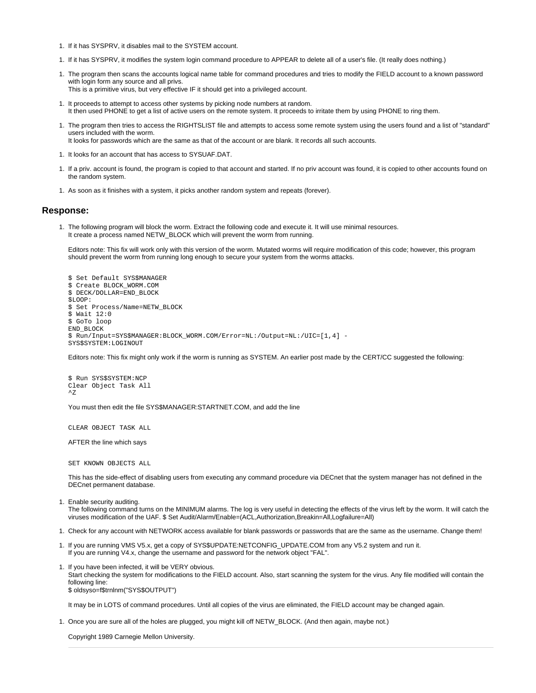- 1. If it has SYSPRV, it disables mail to the SYSTEM account.
- 1. If it has SYSPRV, it modifies the system login command procedure to APPEAR to delete all of a user's file. (It really does nothing.)
- 1. The program then scans the accounts logical name table for command procedures and tries to modify the FIELD account to a known password with login form any source and all privs. This is a primitive virus, but very effective IF it should get into a privileged account.
- 
- 1. It proceeds to attempt to access other systems by picking node numbers at random. It then used PHONE to get a list of active users on the remote system. It proceeds to irritate them by using PHONE to ring them.
- 1. The program then tries to access the RIGHTSLIST file and attempts to access some remote system using the users found and a list of "standard" users included with the worm.
- It looks for passwords which are the same as that of the account or are blank. It records all such accounts.
- 1. It looks for an account that has access to SYSUAF.DAT.
- 1. If a priv. account is found, the program is copied to that account and started. If no priv account was found, it is copied to other accounts found on the random system.
- 1. As soon as it finishes with a system, it picks another random system and repeats (forever).

#### **Response:**

1. The following program will block the worm. Extract the following code and execute it. It will use minimal resources. It create a process named NETW\_BLOCK which will prevent the worm from running.

Editors note: This fix will work only with this version of the worm. Mutated worms will require modification of this code; however, this program should prevent the worm from running long enough to secure your system from the worms attacks.

\$ Set Default SYS\$MANAGER \$ Create BLOCK\_WORM.COM \$ DECK/DOLLAR=END\_BLOCK \$LOOP: \$ Set Process/Name=NETW\_BLOCK \$ Wait 12:0 \$ GoTo loop END\_BLOCK \$ Run/Input=SYS\$MANAGER:BLOCK\_WORM.COM/Error=NL:/Output=NL:/UIC=[1,4] - SYS\$SYSTEM:LOGINOUT

Editors note: This fix might only work if the worm is running as SYSTEM. An earlier post made by the CERT/CC suggested the following:

\$ Run SYS\$SYSTEM:NCP Clear Object Task All  $^{\prime}$ 7.

You must then edit the file SYS\$MANAGER:STARTNET.COM, and add the line

CLEAR OBJECT TASK ALL

AFTER the line which says

SET KNOWN OBJECTS ALL

This has the side-effect of disabling users from executing any command procedure via DECnet that the system manager has not defined in the DECnet permanent database.

1. Enable security auditing.

The following command turns on the MINIMUM alarms. The log is very useful in detecting the effects of the virus left by the worm. It will catch the viruses modification of the UAF. \$ Set Audit/Alarm/Enable=(ACL,Authorization,Breakin=All,Logfailure=All)

- 1. Check for any account with NETWORK access available for blank passwords or passwords that are the same as the username. Change them!
- 1. If you are running VMS V5.x, get a copy of SYS\$UPDATE:NETCONFIG\_UPDATE.COM from any V5.2 system and run it. If you are running V4.x, change the username and password for the network object "FAL".
- 1. If you have been infected, it will be VERY obvious. Start checking the system for modifications to the FIELD account. Also, start scanning the system for the virus. Any file modified will contain the following line: \$ oldsyso=f\$trnlnm("SYS\$OUTPUT")

It may be in LOTS of command procedures. Until all copies of the virus are eliminated, the FIELD account may be changed again.

1. Once you are sure all of the holes are plugged, you might kill off NETW\_BLOCK. (And then again, maybe not.)

Copyright 1989 Carnegie Mellon University.